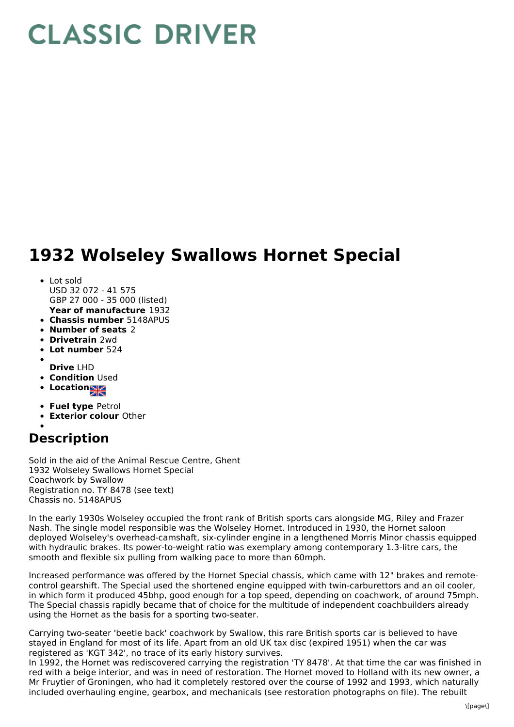## **CLASSIC DRIVER**

## **1932 Wolseley Swallows Hornet Special**

- **Year of manufacture** 1932 • Lot sold USD 32 072 - 41 575 GBP 27 000 - 35 000 (listed)
- **Chassis number** 5148APUS
- **Number of seats** 2
- **Drivetrain** 2wd
- **Lot number** 524
- **Drive** LHD
- **Condition Used**
- **Locations**
- 
- **Fuel type** Petrol
- **Exterior colour** Other

## **Description**

Sold in the aid of the Animal Rescue Centre, Ghent 1932 Wolseley Swallows Hornet Special Coachwork by Swallow Registration no. TY 8478 (see text) Chassis no. 5148APUS

In the early 1930s Wolseley occupied the front rank of British sports cars alongside MG, Riley and Frazer Nash. The single model responsible was the Wolseley Hornet. Introduced in 1930, the Hornet saloon deployed Wolseley's overhead-camshaft, six-cylinder engine in a lengthened Morris Minor chassis equipped with hydraulic brakes. Its power-to-weight ratio was exemplary among contemporary 1.3-litre cars, the smooth and flexible six pulling from walking pace to more than 60mph.

Increased performance was offered by the Hornet Special chassis, which came with 12" brakes and remotecontrol gearshift. The Special used the shortened engine equipped with twin-carburettors and an oil cooler, in which form it produced 45bhp, good enough for a top speed, depending on coachwork, of around 75mph. The Special chassis rapidly became that of choice for the multitude of independent coachbuilders already using the Hornet as the basis for a sporting two-seater.

Carrying two-seater 'beetle back' coachwork by Swallow, this rare British sports car is believed to have stayed in England for most of its life. Apart from an old UK tax disc (expired 1951) when the car was registered as 'KGT 342', no trace of its early history survives.

In 1992, the Hornet was rediscovered carrying the registration 'TY 8478'. At that time the car was finished in red with a beige interior, and was in need of restoration. The Hornet moved to Holland with its new owner, a Mr Fruytier of Groningen, who had it completely restored over the course of 1992 and 1993, which naturally included overhauling engine, gearbox, and mechanicals (see restoration photographs on file). The rebuilt